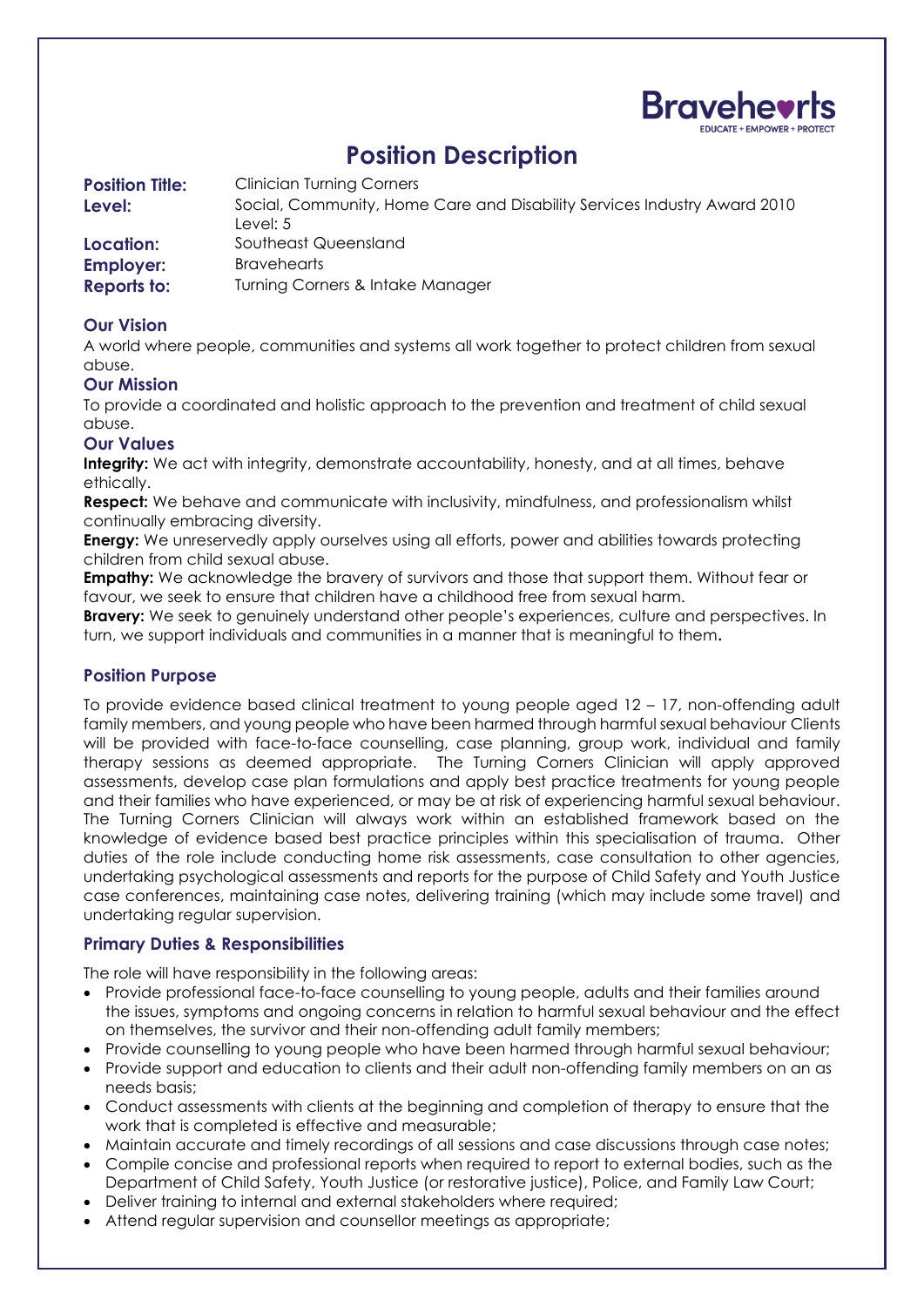

# **Position Description**

| <b>Position Title:</b> | <b>Clinician Turning Corners</b>                                                     |
|------------------------|--------------------------------------------------------------------------------------|
| Level:                 | Social, Community, Home Care and Disability Services Industry Award 2010<br>Level: 5 |
|                        |                                                                                      |
| Location:              | Southeast Queensland                                                                 |
| <b>Employer:</b>       | <b>Bravehearts</b>                                                                   |
| <b>Reports to:</b>     | Turning Corners & Intake Manager                                                     |

## **Our Vision**

A world where people, communities and systems all work together to protect children from sexual abuse.

### **Our Mission**

To provide a coordinated and holistic approach to the prevention and treatment of child sexual abuse.

#### **Our Values**

**Integrity:** We act with integrity, demonstrate accountability, honesty, and at all times, behave ethically.

**Respect:** We behave and communicate with inclusivity, mindfulness, and professionalism whilst continually embracing diversity.

**Energy:** We unreservedly apply ourselves using all efforts, power and abilities towards protecting children from child sexual abuse.

**Empathy:** We acknowledge the bravery of survivors and those that support them. Without fear or favour, we seek to ensure that children have a childhood free from sexual harm.

**Bravery:** We seek to genuinely understand other people's experiences, culture and perspectives. In turn, we support individuals and communities in a manner that is meaningful to them**.** 

#### **Position Purpose**

To provide evidence based clinical treatment to young people aged 12 – 17, non-offending adult family members, and young people who have been harmed through harmful sexual behaviour Clients will be provided with face-to-face counselling, case planning, group work, individual and family therapy sessions as deemed appropriate. The Turning Corners Clinician will apply approved assessments, develop case plan formulations and apply best practice treatments for young people and their families who have experienced, or may be at risk of experiencing harmful sexual behaviour. The Turning Corners Clinician will always work within an established framework based on the knowledge of evidence based best practice principles within this specialisation of trauma. Other duties of the role include conducting home risk assessments, case consultation to other agencies, undertaking psychological assessments and reports for the purpose of Child Safety and Youth Justice case conferences, maintaining case notes, delivering training (which may include some travel) and undertaking regular supervision.

### **Primary Duties & Responsibilities**

The role will have responsibility in the following areas:

- Provide professional face-to-face counselling to young people, adults and their families around the issues, symptoms and ongoing concerns in relation to harmful sexual behaviour and the effect on themselves, the survivor and their non-offending adult family members;
- Provide counselling to young people who have been harmed through harmful sexual behaviour;
- Provide support and education to clients and their adult non-offending family members on an as needs basis;
- Conduct assessments with clients at the beginning and completion of therapy to ensure that the work that is completed is effective and measurable;
- Maintain accurate and timely recordings of all sessions and case discussions through case notes;
- Compile concise and professional reports when required to report to external bodies, such as the Department of Child Safety, Youth Justice (or restorative justice), Police, and Family Law Court;
- Deliver training to internal and external stakeholders where required;
- Attend regular supervision and counsellor meetings as appropriate;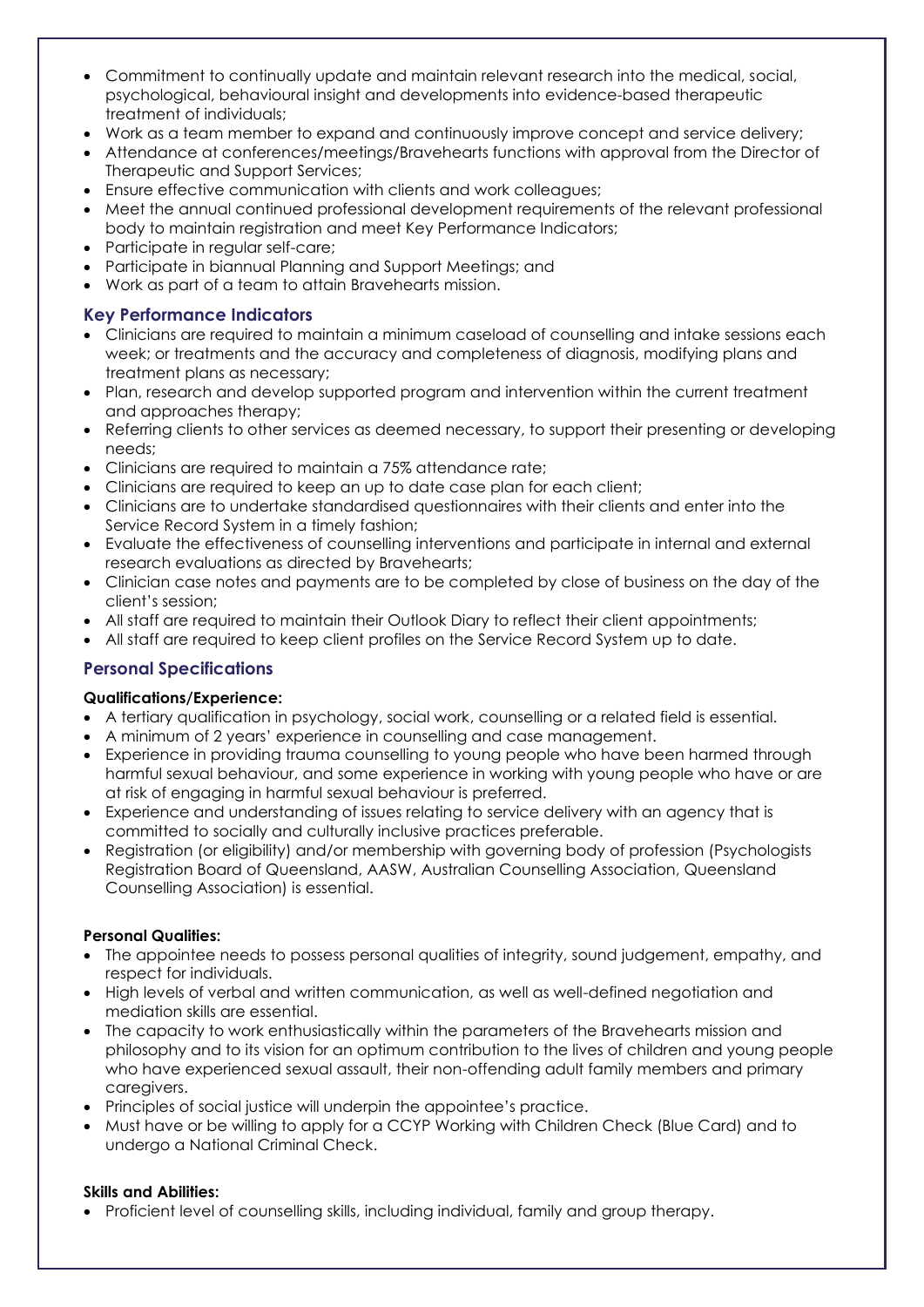- Commitment to continually update and maintain relevant research into the medical, social, psychological, behavioural insight and developments into evidence-based therapeutic treatment of individuals;
- Work as a team member to expand and continuously improve concept and service delivery;
- Attendance at conferences/meetings/Bravehearts functions with approval from the Director of Therapeutic and Support Services;
- Ensure effective communication with clients and work colleagues;
- Meet the annual continued professional development requirements of the relevant professional body to maintain registration and meet Key Performance Indicators;
- Participate in regular self-care;
- Participate in biannual Planning and Support Meetings; and
- Work as part of a team to attain Bravehearts mission.

# **Key Performance Indicators**

- Clinicians are required to maintain a minimum caseload of counselling and intake sessions each week; or treatments and the accuracy and completeness of diagnosis, modifying plans and treatment plans as necessary;
- Plan, research and develop supported program and intervention within the current treatment and approaches therapy;
- Referring clients to other services as deemed necessary, to support their presenting or developing needs;
- Clinicians are required to maintain a 75% attendance rate;
- Clinicians are required to keep an up to date case plan for each client;
- Clinicians are to undertake standardised questionnaires with their clients and enter into the Service Record System in a timely fashion;
- Evaluate the effectiveness of counselling interventions and participate in internal and external research evaluations as directed by Bravehearts;
- Clinician case notes and payments are to be completed by close of business on the day of the client's session;
- All staff are required to maintain their Outlook Diary to reflect their client appointments;
- All staff are required to keep client profiles on the Service Record System up to date.

# **Personal Specifications**

# **Qualifications/Experience:**

- A tertiary qualification in psychology, social work, counselling or a related field is essential.
- A minimum of 2 years' experience in counselling and case management.
- Experience in providing trauma counselling to young people who have been harmed through harmful sexual behaviour, and some experience in working with young people who have or are at risk of engaging in harmful sexual behaviour is preferred.
- Experience and understanding of issues relating to service delivery with an agency that is committed to socially and culturally inclusive practices preferable.
- Registration (or eligibility) and/or membership with governing body of profession (Psychologists Registration Board of Queensland, AASW, Australian Counselling Association, Queensland Counselling Association) is essential.

# **Personal Qualities:**

- The appointee needs to possess personal qualities of integrity, sound judgement, empathy, and respect for individuals.
- High levels of verbal and written communication, as well as well-defined negotiation and mediation skills are essential.
- The capacity to work enthusiastically within the parameters of the Bravehearts mission and philosophy and to its vision for an optimum contribution to the lives of children and young people who have experienced sexual assault, their non-offending adult family members and primary caregivers.
- Principles of social justice will underpin the appointee's practice.
- Must have or be willing to apply for a CCYP Working with Children Check (Blue Card) and to undergo a National Criminal Check.

### **Skills and Abilities:**

• Proficient level of counselling skills, including individual, family and group therapy.